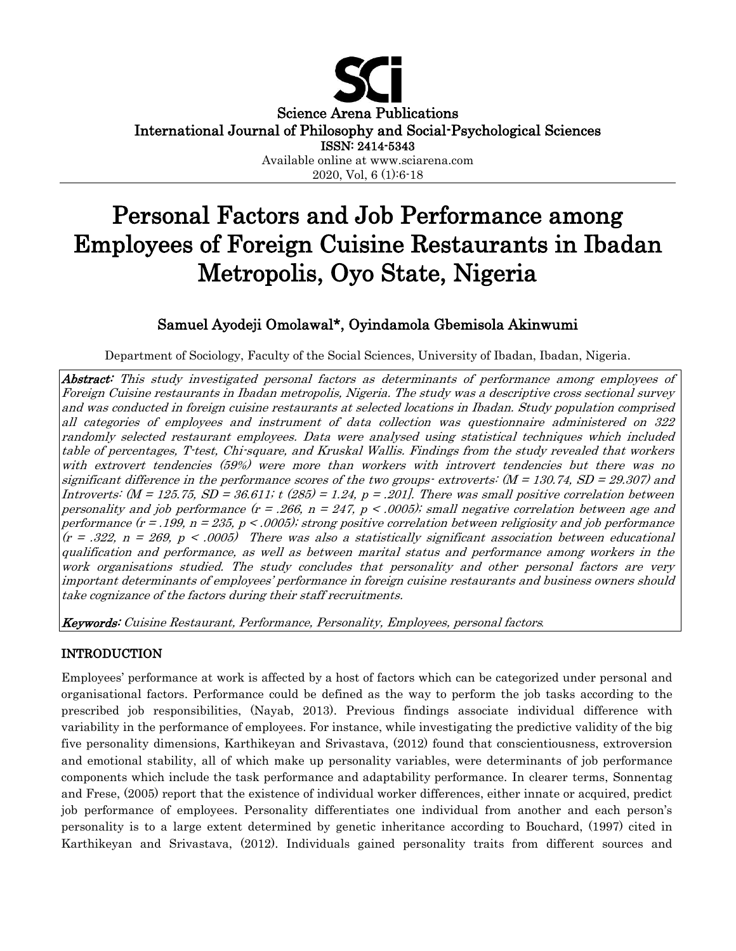

Science Arena Publications

International Journal of Philosophy and Social-Psychological Sciences

ISSN: 2414-5343

Available online at www.sciarena.com 2020, Vol, 6 (1):6-18

# Personal Factors and Job Performance among Employees of Foreign Cuisine Restaurants in Ibadan Metropolis, Oyo State, Nigeria

# Samuel Ayodeji Omolawal\*, Oyindamola Gbemisola Akinwumi

Department of Sociology, Faculty of the Social Sciences, University of Ibadan, Ibadan, Nigeria.

Abstract: This study investigated personal factors as determinants of performance among employees of Foreign Cuisine restaurants in Ibadan metropolis, Nigeria. The study was a descriptive cross sectional survey and was conducted in foreign cuisine restaurants at selected locations in Ibadan. Study population comprised all categories of employees and instrument of data collection was questionnaire administered on 322 randomly selected restaurant employees. Data were analysed using statistical techniques which included table of percentages, T-test, Chi-square, and Kruskal Wallis. Findings from the study revealed that workers with extrovert tendencies (59%) were more than workers with introvert tendencies but there was no significant difference in the performance scores of the two groups- extroverts: (M = 130.74, SD = 29.307) and Introverts:  $(M = 125.75, SD = 36.611$ ; t (285) = 1.24,  $p = .201$ . There was small positive correlation between personality and job performance  $(r = .266, n = 247, p < .0005)$ ; small negative correlation between age and performance (r = .199, n = 235, p < .0005); strong positive correlation between religiosity and job performance  $(r = .322, n = 269, p < .0005)$  There was also a statistically significant association between educational qualification and performance, as well as between marital status and performance among workers in the work organisations studied. The study concludes that personality and other personal factors are very important determinants of employees' performance in foreign cuisine restaurants and business owners should take cognizance of the factors during their staff recruitments.

Keywords: Cuisine Restaurant, Performance, Personality, Employees, personal factors *.*

# INTRODUCTION

Employees' performance at work is affected by a host of factors which can be categorized under personal and organisational factors. Performance could be defined as the way to perform the job tasks according to the prescribed job responsibilities, (Nayab, 2013). Previous findings associate individual difference with variability in the performance of employees. For instance, while investigating the predictive validity of the big five personality dimensions, Karthikeyan and Srivastava, (2012) found that conscientiousness, extroversion and emotional stability, all of which make up personality variables, were determinants of job performance components which include the task performance and adaptability performance. In clearer terms, Sonnentag and Frese, (2005) report that the existence of individual worker differences, either innate or acquired, predict job performance of employees. Personality differentiates one individual from another and each person's personality is to a large extent determined by genetic inheritance according to Bouchard, (1997) cited in Karthikeyan and Srivastava, (2012). Individuals gained personality traits from different sources and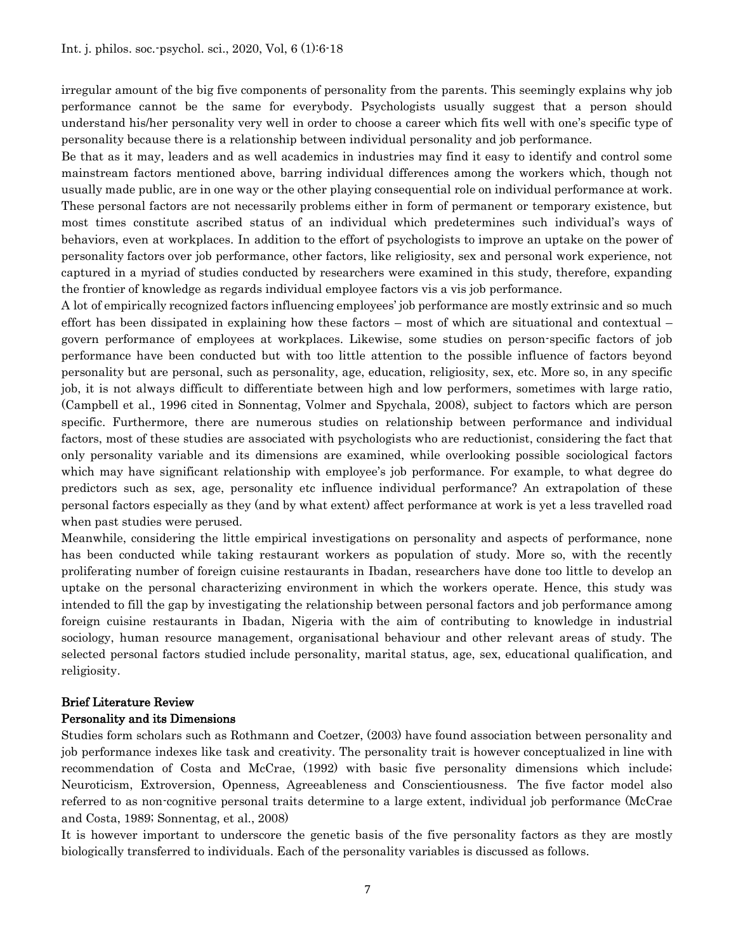irregular amount of the big five components of personality from the parents. This seemingly explains why job performance cannot be the same for everybody. Psychologists usually suggest that a person should understand his/her personality very well in order to choose a career which fits well with one's specific type of personality because there is a relationship between individual personality and job performance.

Be that as it may, leaders and as well academics in industries may find it easy to identify and control some mainstream factors mentioned above, barring individual differences among the workers which, though not usually made public, are in one way or the other playing consequential role on individual performance at work. These personal factors are not necessarily problems either in form of permanent or temporary existence, but most times constitute ascribed status of an individual which predetermines such individual's ways of behaviors, even at workplaces. In addition to the effort of psychologists to improve an uptake on the power of personality factors over job performance, other factors, like religiosity, sex and personal work experience, not captured in a myriad of studies conducted by researchers were examined in this study, therefore, expanding the frontier of knowledge as regards individual employee factors vis a vis job performance.

A lot of empirically recognized factors influencing employees' job performance are mostly extrinsic and so much effort has been dissipated in explaining how these factors – most of which are situational and contextual – govern performance of employees at workplaces. Likewise, some studies on person-specific factors of job performance have been conducted but with too little attention to the possible influence of factors beyond personality but are personal, such as personality, age, education, religiosity, sex, etc. More so, in any specific job, it is not always difficult to differentiate between high and low performers, sometimes with large ratio, (Campbell et al., 1996 cited in Sonnentag, Volmer and Spychala, 2008), subject to factors which are person specific. Furthermore, there are numerous studies on relationship between performance and individual factors, most of these studies are associated with psychologists who are reductionist, considering the fact that only personality variable and its dimensions are examined, while overlooking possible sociological factors which may have significant relationship with employee's job performance. For example, to what degree do predictors such as sex, age, personality etc influence individual performance? An extrapolation of these personal factors especially as they (and by what extent) affect performance at work is yet a less travelled road when past studies were perused.

Meanwhile, considering the little empirical investigations on personality and aspects of performance, none has been conducted while taking restaurant workers as population of study. More so, with the recently proliferating number of foreign cuisine restaurants in Ibadan, researchers have done too little to develop an uptake on the personal characterizing environment in which the workers operate. Hence, this study was intended to fill the gap by investigating the relationship between personal factors and job performance among foreign cuisine restaurants in Ibadan, Nigeria with the aim of contributing to knowledge in industrial sociology, human resource management, organisational behaviour and other relevant areas of study. The selected personal factors studied include personality, marital status, age, sex, educational qualification, and religiosity.

#### Brief Literature Review

#### Personality and its Dimensions

Studies form scholars such as Rothmann and Coetzer, (2003) have found association between personality and job performance indexes like task and creativity. The personality trait is however conceptualized in line with recommendation of Costa and McCrae, (1992) with basic five personality dimensions which include; Neuroticism, Extroversion, Openness, Agreeableness and Conscientiousness. The five factor model also referred to as non-cognitive personal traits determine to a large extent, individual job performance (McCrae and Costa, 1989; Sonnentag, et al., 2008)

It is however important to underscore the genetic basis of the five personality factors as they are mostly biologically transferred to individuals. Each of the personality variables is discussed as follows.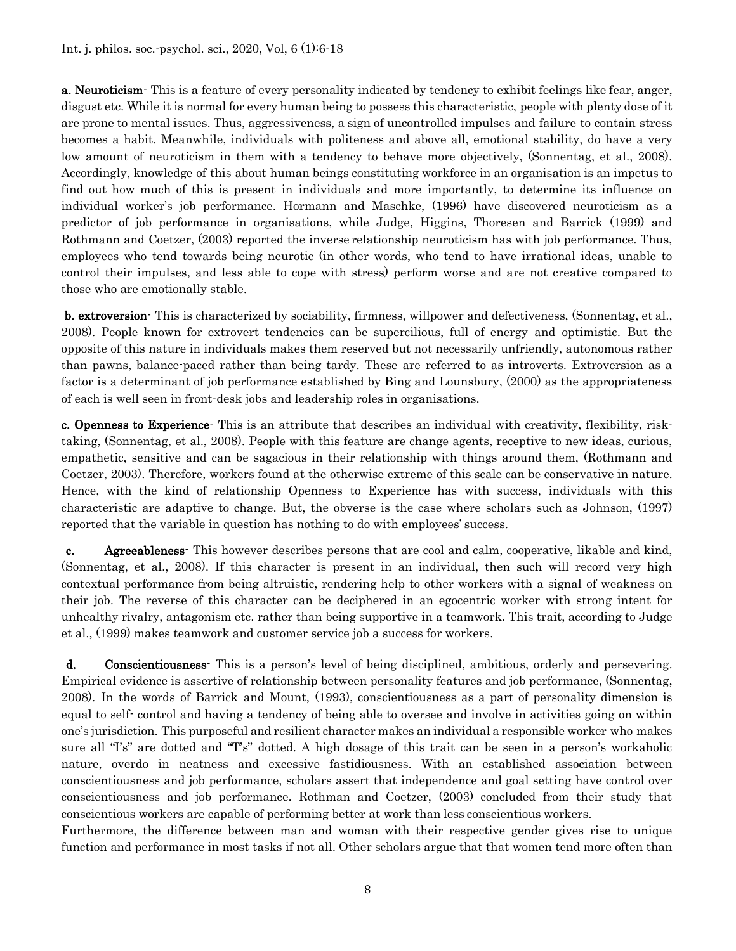Int. j. philos. soc.-psychol. sci., 2020, Vol, 6 (1):6-18

a. Neuroticism This is a feature of every personality indicated by tendency to exhibit feelings like fear, anger, disgust etc. While it is normal for every human being to possess this characteristic, people with plenty dose of it are prone to mental issues. Thus, aggressiveness, a sign of uncontrolled impulses and failure to contain stress becomes a habit. Meanwhile, individuals with politeness and above all, emotional stability, do have a very low amount of neuroticism in them with a tendency to behave more objectively, (Sonnentag, et al., 2008). Accordingly, knowledge of this about human beings constituting workforce in an organisation is an impetus to find out how much of this is present in individuals and more importantly, to determine its influence on individual worker's job performance. Hormann and Maschke, (1996) have discovered neuroticism as a predictor of job performance in organisations, while Judge, Higgins, Thoresen and Barrick (1999) and Rothmann and Coetzer, (2003) reported the inverse relationship neuroticism has with job performance. Thus, employees who tend towards being neurotic (in other words, who tend to have irrational ideas, unable to control their impulses, and less able to cope with stress) perform worse and are not creative compared to those who are emotionally stable.

b. extroversion- This is characterized by sociability, firmness, willpower and defectiveness, (Sonnentag, et al., 2008). People known for extrovert tendencies can be supercilious, full of energy and optimistic. But the opposite of this nature in individuals makes them reserved but not necessarily unfriendly, autonomous rather than pawns, balance-paced rather than being tardy. These are referred to as introverts. Extroversion as a factor is a determinant of job performance established by Bing and Lounsbury, (2000) as the appropriateness of each is well seen in front-desk jobs and leadership roles in organisations.

c. Openness to Experience<sup>-</sup> This is an attribute that describes an individual with creativity, flexibility, risktaking, (Sonnentag, et al., 2008). People with this feature are change agents, receptive to new ideas, curious, empathetic, sensitive and can be sagacious in their relationship with things around them, (Rothmann and Coetzer, 2003). Therefore, workers found at the otherwise extreme of this scale can be conservative in nature. Hence, with the kind of relationship Openness to Experience has with success, individuals with this characteristic are adaptive to change. But, the obverse is the case where scholars such as Johnson, (1997) reported that the variable in question has nothing to do with employees' success.

c. Agreeableness- This however describes persons that are cool and calm, cooperative, likable and kind, (Sonnentag, et al., 2008). If this character is present in an individual, then such will record very high contextual performance from being altruistic, rendering help to other workers with a signal of weakness on their job. The reverse of this character can be deciphered in an egocentric worker with strong intent for unhealthy rivalry, antagonism etc. rather than being supportive in a teamwork. This trait, according to Judge et al., (1999) makes teamwork and customer service job a success for workers.

d. Conscientiousness- This is a person's level of being disciplined, ambitious, orderly and persevering. Empirical evidence is assertive of relationship between personality features and job performance, (Sonnentag, 2008). In the words of Barrick and Mount, (1993), conscientiousness as a part of personality dimension is equal to self- control and having a tendency of being able to oversee and involve in activities going on within one's jurisdiction. This purposeful and resilient character makes an individual a responsible worker who makes sure all "I's" are dotted and "T's" dotted. A high dosage of this trait can be seen in a person's workaholic nature, overdo in neatness and excessive fastidiousness. With an established association between conscientiousness and job performance, scholars assert that independence and goal setting have control over conscientiousness and job performance. Rothman and Coetzer, (2003) concluded from their study that conscientious workers are capable of performing better at work than less conscientious workers.

Furthermore, the difference between man and woman with their respective gender gives rise to unique function and performance in most tasks if not all. Other scholars argue that that women tend more often than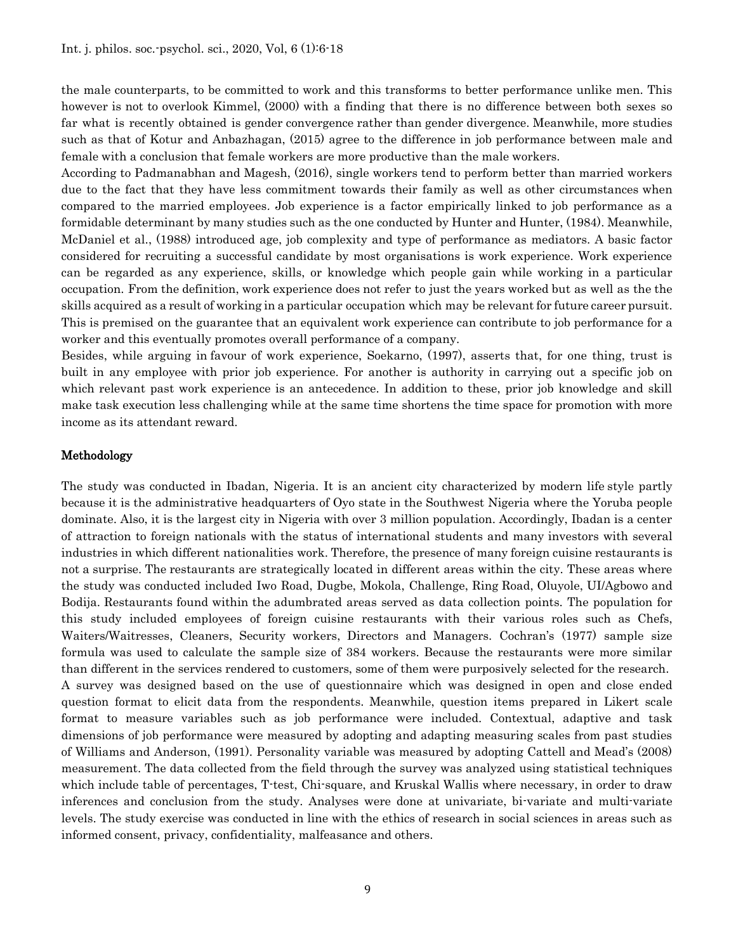the male counterparts, to be committed to work and this transforms to better performance unlike men. This however is not to overlook Kimmel, (2000) with a finding that there is no difference between both sexes so far what is recently obtained is gender convergence rather than gender divergence. Meanwhile, more studies such as that of Kotur and Anbazhagan, (2015) agree to the difference in job performance between male and female with a conclusion that female workers are more productive than the male workers.

According to Padmanabhan and Magesh, (2016), single workers tend to perform better than married workers due to the fact that they have less commitment towards their family as well as other circumstances when compared to the married employees. Job experience is a factor empirically linked to job performance as a formidable determinant by many studies such as the one conducted by Hunter and Hunter, (1984). Meanwhile, McDaniel et al., (1988) introduced age, job complexity and type of performance as mediators. A basic factor considered for recruiting a successful candidate by most organisations is work experience. Work experience can be regarded as any experience, skills, or knowledge which people gain while working in a particular occupation. From the definition, work experience does not refer to just the years worked but as well as the the skills acquired as a result of working in a particular occupation which may be relevant for future career pursuit. This is premised on the guarantee that an equivalent work experience can contribute to job performance for a worker and this eventually promotes overall performance of a company.

Besides, while arguing in favour of work experience, Soekarno, (1997), asserts that, for one thing, trust is built in any employee with prior job experience. For another is authority in carrying out a specific job on which relevant past work experience is an antecedence. In addition to these, prior job knowledge and skill make task execution less challenging while at the same time shortens the time space for promotion with more income as its attendant reward.

#### Methodology

The study was conducted in Ibadan, Nigeria. It is an ancient city characterized by modern life style partly because it is the administrative headquarters of Oyo state in the Southwest Nigeria where the Yoruba people dominate. Also, it is the largest city in Nigeria with over 3 million population. Accordingly, Ibadan is a center of attraction to foreign nationals with the status of international students and many investors with several industries in which different nationalities work. Therefore, the presence of many foreign cuisine restaurants is not a surprise. The restaurants are strategically located in different areas within the city. These areas where the study was conducted included Iwo Road, Dugbe, Mokola, Challenge, Ring Road, Oluyole, UI/Agbowo and Bodija. Restaurants found within the adumbrated areas served as data collection points. The population for this study included employees of foreign cuisine restaurants with their various roles such as Chefs, Waiters/Waitresses, Cleaners, Security workers, Directors and Managers. Cochran's (1977) sample size formula was used to calculate the sample size of 384 workers. Because the restaurants were more similar than different in the services rendered to customers, some of them were purposively selected for the research. A survey was designed based on the use of questionnaire which was designed in open and close ended question format to elicit data from the respondents. Meanwhile, question items prepared in Likert scale format to measure variables such as job performance were included. Contextual, adaptive and task dimensions of job performance were measured by adopting and adapting measuring scales from past studies of Williams and Anderson, (1991). Personality variable was measured by adopting Cattell and Mead's (2008) measurement. The data collected from the field through the survey was analyzed using statistical techniques which include table of percentages, T-test, Chi-square, and Kruskal Wallis where necessary, in order to draw inferences and conclusion from the study. Analyses were done at univariate, bi-variate and multi-variate levels. The study exercise was conducted in line with the ethics of research in social sciences in areas such as informed consent, privacy, confidentiality, malfeasance and others.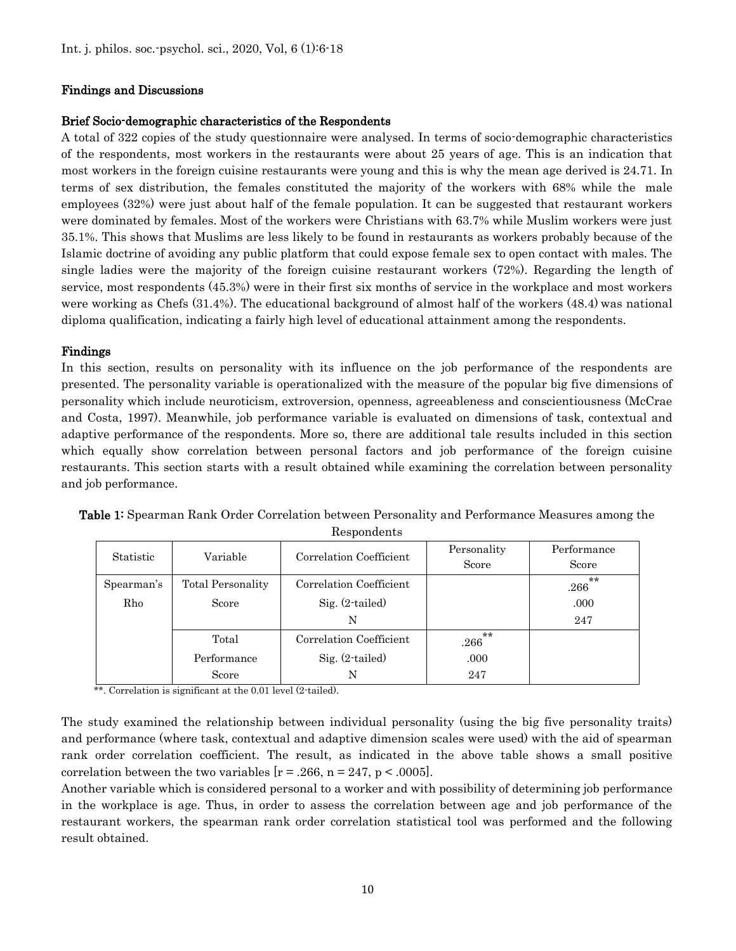## Findings and Discussions

#### Brief Socio-demographic characteristics of the Respondents

A total of 322 copies of the study questionnaire were analysed. In terms of socio-demographic characteristics of the respondents, most workers in the restaurants were about 25 years of age. This is an indication that most workers in the foreign cuisine restaurants were young and this is why the mean age derived is 24.71. In terms of sex distribution, the females constituted the majority of the workers with 68% while the male employees (32%) were just about half of the female population. It can be suggested that restaurant workers were dominated by females. Most of the workers were Christians with 63.7% while Muslim workers were just 35.1%. This shows that Muslims are less likely to be found in restaurants as workers probably because of the Islamic doctrine of avoiding any public platform that could expose female sex to open contact with males. The single ladies were the majority of the foreign cuisine restaurant workers (72%). Regarding the length of service, most respondents (45.3%) were in their first six months of service in the workplace and most workers were working as Chefs (31.4%). The educational background of almost half of the workers (48.4) was national diploma qualification, indicating a fairly high level of educational attainment among the respondents.

### Findings

In this section, results on personality with its influence on the job performance of the respondents are presented. The personality variable is operationalized with the measure of the popular big five dimensions of personality which include neuroticism, extroversion, openness, agreeableness and conscientiousness (McCrae and Costa, 1997). Meanwhile, job performance variable is evaluated on dimensions of task, contextual and adaptive performance of the respondents. More so, there are additional tale results included in this section which equally show correlation between personal factors and job performance of the foreign cuisine restaurants. This section starts with a result obtained while examining the correlation between personality and job performance.

| Table 1: Spearman Rank Order Correlation between Personality and Performance Measures among the |  |  |  |  |  |
|-------------------------------------------------------------------------------------------------|--|--|--|--|--|
|                                                                                                 |  |  |  |  |  |

| Respondents |  |
|-------------|--|
|-------------|--|

| Statistic  | Variable          | Correlation Coefficient | Personality<br>Score | Performance<br>Score |
|------------|-------------------|-------------------------|----------------------|----------------------|
| Spearman's | Total Personality | Correlation Coefficient |                      | $**$<br>.266         |
| Rho        | Score             | $Sig. (2-tailed)$       |                      | .000                 |
|            |                   | N                       |                      | 247                  |
|            | Total             | Correlation Coefficient | $**$<br>.266         |                      |
|            | Performance       | $Sig. (2-tailed)$       | .000                 |                      |
|            | Score             | N                       | 247                  |                      |

\*\*. Correlation is significant at the 0.01 level (2-tailed).

The study examined the relationship between individual personality (using the big five personality traits) and performance (where task, contextual and adaptive dimension scales were used) with the aid of spearman rank order correlation coefficient. The result, as indicated in the above table shows a small positive correlation between the two variables  $[r = .266, n = 247, p < .0005]$ .

Another variable which is considered personal to a worker and with possibility of determining job performance in the workplace is age. Thus, in order to assess the correlation between age and job performance of the restaurant workers, the spearman rank order correlation statistical tool was performed and the following result obtained.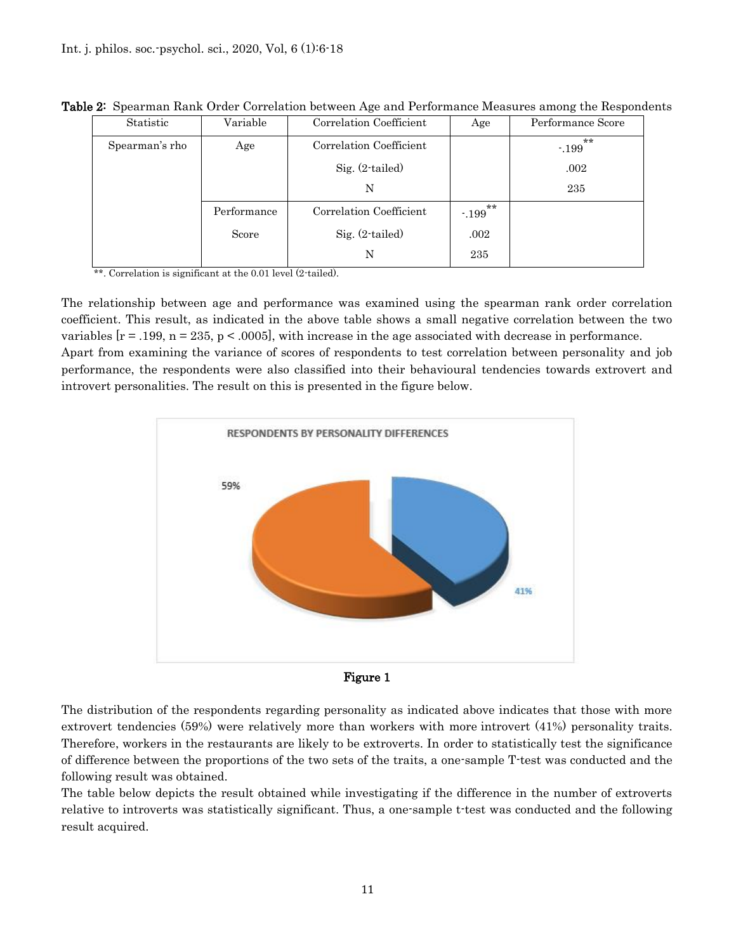| Statistic      | Variable    | Correlation Coefficient | Age                    | Performance Score      |
|----------------|-------------|-------------------------|------------------------|------------------------|
| Spearman's rho | Age         | Correlation Coefficient |                        | $\star\star$<br>$-199$ |
|                |             | $Sig. (2-tailed)$       |                        | .002                   |
|                |             | N                       |                        | 235                    |
|                | Performance | Correlation Coefficient | $\star\star$<br>$-199$ |                        |
|                | Score       | Sig. (2-tailed)         | .002                   |                        |
|                |             | N                       | 235                    |                        |

Table 2: Spearman Rank Order Correlation between Age and Performance Measures among the Respondents

\*\*. Correlation is significant at the 0.01 level (2-tailed).

The relationship between age and performance was examined using the spearman rank order correlation coefficient. This result, as indicated in the above table shows a small negative correlation between the two variables  $[r = .199, n = 235, p < .0005]$ , with increase in the age associated with decrease in performance. Apart from examining the variance of scores of respondents to test correlation between personality and job performance, the respondents were also classified into their behavioural tendencies towards extrovert and introvert personalities. The result on this is presented in the figure below.





The distribution of the respondents regarding personality as indicated above indicates that those with more extrovert tendencies (59%) were relatively more than workers with more introvert (41%) personality traits. Therefore, workers in the restaurants are likely to be extroverts. In order to statistically test the significance of difference between the proportions of the two sets of the traits, a one-sample T-test was conducted and the following result was obtained.

The table below depicts the result obtained while investigating if the difference in the number of extroverts relative to introverts was statistically significant. Thus, a one-sample t-test was conducted and the following result acquired.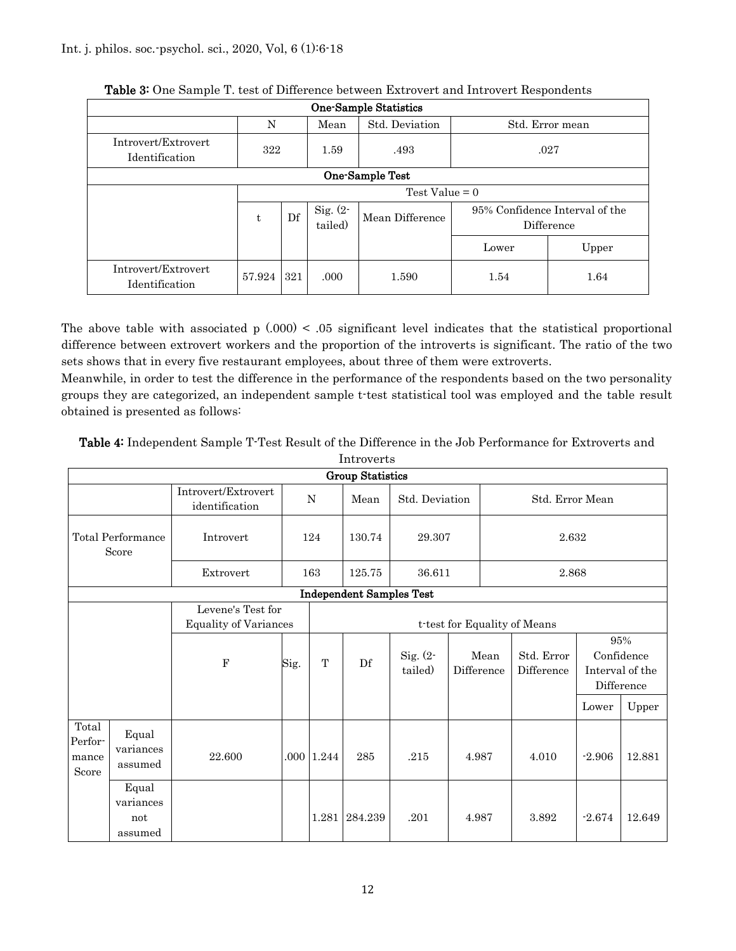| <b>One-Sample Statistics</b>                   |                  |     |                        |                 |                                              |       |  |  |  |
|------------------------------------------------|------------------|-----|------------------------|-----------------|----------------------------------------------|-------|--|--|--|
| Std. Deviation<br>N<br>Mean<br>Std. Error mean |                  |     |                        |                 |                                              |       |  |  |  |
| Introvert/Extrovert<br>Identification          | 322              |     | 1.59                   | .493            | .027                                         |       |  |  |  |
| One-Sample Test                                |                  |     |                        |                 |                                              |       |  |  |  |
|                                                | Test Value $= 0$ |     |                        |                 |                                              |       |  |  |  |
|                                                | t.               | Df  | Sig. $(2 -$<br>tailed) | Mean Difference | 95% Confidence Interval of the<br>Difference |       |  |  |  |
|                                                |                  |     |                        |                 | Lower                                        | Upper |  |  |  |
| Introvert/Extrovert<br>Identification          | 57.924           | 321 | .000                   | 1.590           | 1.54                                         | 1.64  |  |  |  |

| Table 3: One Sample T. test of Difference between Extrovert and Introvert Respondents |
|---------------------------------------------------------------------------------------|
|---------------------------------------------------------------------------------------|

The above table with associated  $p(0.000) < 0.05$  significant level indicates that the statistical proportional difference between extrovert workers and the proportion of the introverts is significant. The ratio of the two sets shows that in every five restaurant employees, about three of them were extroverts.

Meanwhile, in order to test the difference in the performance of the respondents based on the two personality groups they are categorized, an independent sample t-test statistical tool was employed and the table result obtained is presented as follows:

|                                    | muroverus                            |                                                   |      |             |                                 |                        |                    |                              |          |                                                    |
|------------------------------------|--------------------------------------|---------------------------------------------------|------|-------------|---------------------------------|------------------------|--------------------|------------------------------|----------|----------------------------------------------------|
|                                    | <b>Group Statistics</b>              |                                                   |      |             |                                 |                        |                    |                              |          |                                                    |
|                                    |                                      | Introvert/Extrovert<br>identification             |      | $\mathbf N$ | Mean                            | Std. Deviation         |                    | Std. Error Mean              |          |                                                    |
| Total Performance<br>Score         |                                      | Introvert                                         |      | 124         | 130.74                          | 29.307                 |                    | 2.632                        |          |                                                    |
|                                    |                                      | Extrovert                                         |      | 163         | 125.75                          | 36.611                 |                    |                              | 2.868    |                                                    |
|                                    |                                      |                                                   |      |             | <b>Independent Samples Test</b> |                        |                    |                              |          |                                                    |
|                                    |                                      | Levene's Test for<br><b>Equality of Variances</b> |      |             |                                 |                        |                    | t-test for Equality of Means |          |                                                    |
|                                    |                                      | $\mathbf F$                                       | Sig. | T           | Df                              | Sig. $(2 -$<br>tailed) | Mean<br>Difference | Std. Error<br>Difference     |          | 95%<br>Confidence<br>Interval of the<br>Difference |
|                                    |                                      |                                                   |      |             |                                 |                        |                    |                              | Lower    | Upper                                              |
| Total<br>Perfor-<br>mance<br>Score | Equal<br>variances<br>assumed        | 22.600                                            |      | .000 1.244  | 285                             | .215                   | 4.987              | 4.010                        | $-2.906$ | 12.881                                             |
|                                    | Equal<br>variances<br>not<br>assumed |                                                   |      |             | 1.281 284.239                   | .201                   | 4.987              | 3.892                        | $-2.674$ | 12.649                                             |

Table 4: Independent Sample T-Test Result of the Difference in the Job Performance for Extroverts and Introverts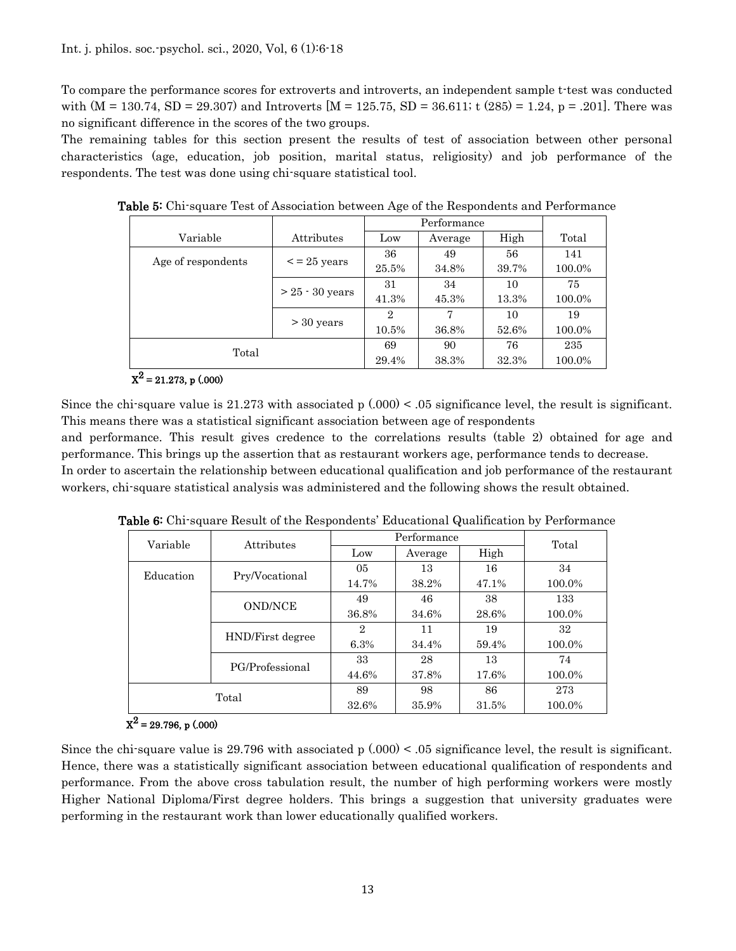To compare the performance scores for extroverts and introverts, an independent sample t-test was conducted with  $(M = 130.74, SD = 29.307)$  and Introverts  $[M = 125.75, SD = 36.611$ ; t  $(285) = 1.24, p = .201$ . There was no significant difference in the scores of the two groups.

The remaining tables for this section present the results of test of association between other personal characteristics (age, education, job position, marital status, religiosity) and job performance of the respondents. The test was done using chi-square statistical tool.

| Variable           | Attributes                | Low   | Average | High   | Total  |
|--------------------|---------------------------|-------|---------|--------|--------|
| Age of respondents | $\mathopen{<}$ = 25 years | 36    | 49      | 56     | 141    |
|                    |                           | 25.5% | 34.8%   | 39.7%  | 100.0% |
|                    | $> 25 - 30$ years         | 31    | 34      | 10     | 75     |
|                    |                           | 41.3% | 45.3%   | 13.3%  | 100.0% |
|                    |                           | 2     | 7       | 10     | 19     |
|                    | $>$ 30 years              | 10.5% | 36.8%   | 52.6%  | 100.0% |
| Total              | 69                        | 90    | 76      | 235    |        |
|                    | 29.4%                     | 38.3% | 32.3%   | 100.0% |        |

Table 5: Chi-square Test of Association between Age of the Respondents and Performance

## $X^2 = 21.273$ , p (.000)

Since the chi-square value is 21.273 with associated p  $(.000) < .05$  significance level, the result is significant. This means there was a statistical significant association between age of respondents

and performance. This result gives credence to the correlations results (table 2) obtained for age and performance. This brings up the assertion that as restaurant workers age, performance tends to decrease. In order to ascertain the relationship between educational qualification and job performance of the restaurant

workers, chi-square statistical analysis was administered and the following shows the result obtained.

| Variable  | Attributes       | Performance    | Total   |       |        |
|-----------|------------------|----------------|---------|-------|--------|
|           |                  | Low            | Average | High  |        |
| Education | Pry/Vocational   | 05             | 13      | 16    | 34     |
|           |                  | 14.7%          | 38.2%   | 47.1% | 100.0% |
|           | <b>OND/NCE</b>   | 49             | 46      | 38    | 133    |
|           |                  | 36.8%          | 34.6%   | 28.6% | 100.0% |
|           | HND/First degree | $\overline{2}$ | 11      | 19    | 32     |
|           |                  | 6.3%           | 34.4%   | 59.4% | 100.0% |
|           | PG/Professional  | 33             | 28      | 13    | 74     |
|           |                  | 44.6%          | 37.8%   | 17.6% | 100.0% |
|           | Total            | 89             | 98      | 86    | 273    |
|           |                  | 32.6%          | 35.9%   | 31.5% | 100.0% |

Table 6: Chi-square Result of the Respondents' Educational Qualification by Performance

# $X^2$  = 29.796, p (.000)

Since the chi-square value is 29.796 with associated p  $(.000) < .05$  significance level, the result is significant. Hence, there was a statistically significant association between educational qualification of respondents and performance. From the above cross tabulation result, the number of high performing workers were mostly Higher National Diploma/First degree holders. This brings a suggestion that university graduates were performing in the restaurant work than lower educationally qualified workers.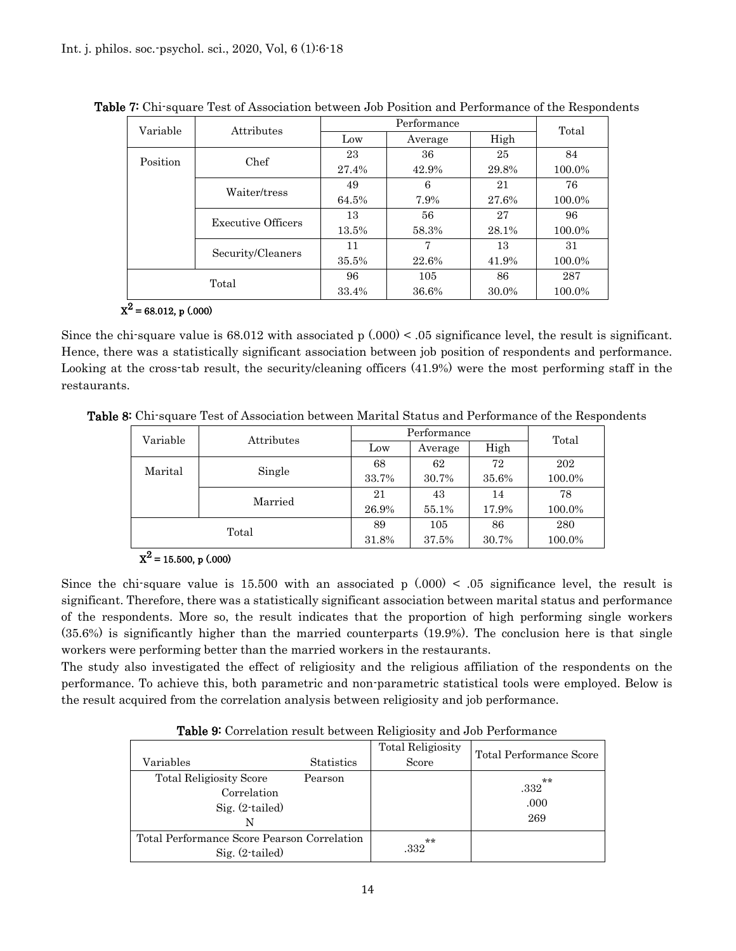| Variable | Attributes                |       | Total   |       |        |
|----------|---------------------------|-------|---------|-------|--------|
|          |                           | Low   | Average |       |        |
| Position | Chef                      | 23    | 36      | 25    | 84     |
|          |                           | 27.4% | 42.9%   | 29.8% | 100.0% |
|          | Waiter/tress              | 49    | 6       | 21    | 76     |
|          |                           | 64.5% | 7.9%    | 27.6% | 100.0% |
|          | <b>Executive Officers</b> | 13    | 56      | 27    | 96     |
|          |                           | 13.5% | 58.3%   | 28.1% | 100.0% |
|          | Security/Cleaners         | 11    | 7       | 13    | 31     |
|          |                           |       | 22.6%   | 41.9% | 100.0% |
| Total    |                           | 96    | 105     | 86    | 287    |
|          |                           | 33.4% | 36.6%   | 30.0% | 100.0% |

Table 7: Chi-square Test of Association between Job Position and Performance of the Respondents

## $X^2$  = 68.012, p (.000)

Since the chi-square value is  $68.012$  with associated p  $(.000) < .05$  significance level, the result is significant. Hence, there was a statistically significant association between job position of respondents and performance. Looking at the cross-tab result, the security/cleaning officers (41.9%) were the most performing staff in the restaurants.

Table 8: Chi-square Test of Association between Marital Status and Performance of the Respondents

| Variable | Attributes | Performance | Total   |       |        |
|----------|------------|-------------|---------|-------|--------|
|          |            | Low         | Average | High  |        |
| Marital  | Single     | 68          | 62      | 72    | 202    |
|          |            | 33.7%       | 30.7%   | 35.6% | 100.0% |
|          | Married    | 21          | 43      | 14    | 78     |
|          |            | 26.9%       | 55.1%   | 17.9% | 100.0% |
|          | Total      | 89          | 105     | 86    | 280    |
|          |            | 31.8%       | 37.5%   | 30.7% | 100.0% |

 $X^2$  = 15.500, p (.000)

Since the chi-square value is 15.500 with an associated p  $(.000) < .05$  significance level, the result is significant. Therefore, there was a statistically significant association between marital status and performance of the respondents. More so, the result indicates that the proportion of high performing single workers (35.6%) is significantly higher than the married counterparts (19.9%). The conclusion here is that single workers were performing better than the married workers in the restaurants.

The study also investigated the effect of religiosity and the religious affiliation of the respondents on the performance. To achieve this, both parametric and non-parametric statistical tools were employed. Below is the result acquired from the correlation analysis between religiosity and job performance.

Table 9: Correlation result between Religiosity and Job Performance

| Variables                                                               | <b>Statistics</b> | <b>Total Religiosity</b><br>Score | Total Performance Score             |
|-------------------------------------------------------------------------|-------------------|-----------------------------------|-------------------------------------|
| <b>Total Religiosity Score</b><br>Correlation<br>$Sig. (2-tailed)$<br>N | Pearson           |                                   | $\star\star$<br>.332<br>.000<br>269 |
| Total Performance Score Pearson Correlation<br>$Sig. (2-tailed)$        |                   | $**$<br>.332                      |                                     |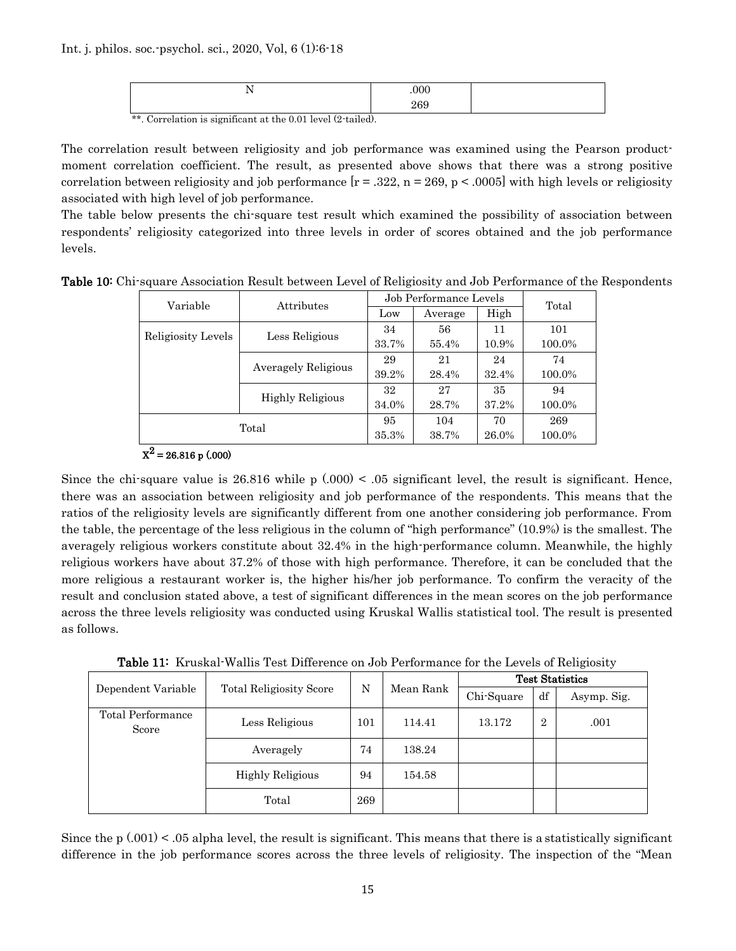| . .<br>$\overline{\phantom{a}}$ | .000      |  |
|---------------------------------|-----------|--|
|                                 | ec<br>409 |  |

\*\*. Correlation is significant at the 0.01 level (2-tailed).

The correlation result between religiosity and job performance was examined using the Pearson productmoment correlation coefficient. The result, as presented above shows that there was a strong positive correlation between religiosity and job performance  $[r = .322, n = 269, p < .0005]$  with high levels or religiosity associated with high level of job performance.

The table below presents the chi-square test result which examined the possibility of association between respondents' religiosity categorized into three levels in order of scores obtained and the job performance levels.

|  |  |  | Table 10: Chi-square Association Result between Level of Religiosity and Job Performance of the Respondents |  |  |
|--|--|--|-------------------------------------------------------------------------------------------------------------|--|--|
|--|--|--|-------------------------------------------------------------------------------------------------------------|--|--|

| Variable           | Attributes          | Job Performance Levels |         |       | Total  |
|--------------------|---------------------|------------------------|---------|-------|--------|
|                    |                     | Low                    | Average | High  |        |
| Religiosity Levels | Less Religious      | 34                     | 56      | 11    | 101    |
|                    |                     | 33.7%                  | 55.4%   | 10.9% | 100.0% |
|                    | Averagely Religious | 29                     | 21      | 24    | 74     |
|                    |                     | 39.2%                  | 28.4%   | 32.4% | 100.0% |
|                    | Highly Religious    | 32                     | 27      | 35    | 94     |
|                    |                     | 34.0%                  | 28.7%   | 37.2% | 100.0% |
| Total              |                     | 95                     | 104     | 70    | 269    |
|                    |                     | 35.3%                  | 38.7%   | 26.0% | 100.0% |

 $X^2$  = 26.816 p (.000)

Since the chi-square value is  $26.816$  while p  $(.000) < .05$  significant level, the result is significant. Hence, there was an association between religiosity and job performance of the respondents. This means that the ratios of the religiosity levels are significantly different from one another considering job performance. From the table, the percentage of the less religious in the column of "high performance" (10.9%) is the smallest. The averagely religious workers constitute about 32.4% in the high-performance column. Meanwhile, the highly religious workers have about 37.2% of those with high performance. Therefore, it can be concluded that the more religious a restaurant worker is, the higher his/her job performance. To confirm the veracity of the result and conclusion stated above, a test of significant differences in the mean scores on the job performance across the three levels religiosity was conducted using Kruskal Wallis statistical tool. The result is presented as follows.

Table 11: Kruskal-Wallis Test Difference on Job Performance for the Levels of Religiosity

|                            | <b>Total Religiosity Score</b> | N   | Mean Rank | <b>Test Statistics</b> |                |             |
|----------------------------|--------------------------------|-----|-----------|------------------------|----------------|-------------|
| Dependent Variable         |                                |     |           | Chi-Square             | df             | Asymp. Sig. |
| Total Performance<br>Score | Less Religious                 | 101 | 114.41    | 13.172                 | $\overline{2}$ | .001        |
|                            | Averagely                      | 74  | 138.24    |                        |                |             |
|                            | <b>Highly Religious</b>        | 94  | 154.58    |                        |                |             |
|                            | Total                          | 269 |           |                        |                |             |

Since the  $p(0.001)$  < .05 alpha level, the result is significant. This means that there is a statistically significant difference in the job performance scores across the three levels of religiosity. The inspection of the "Mean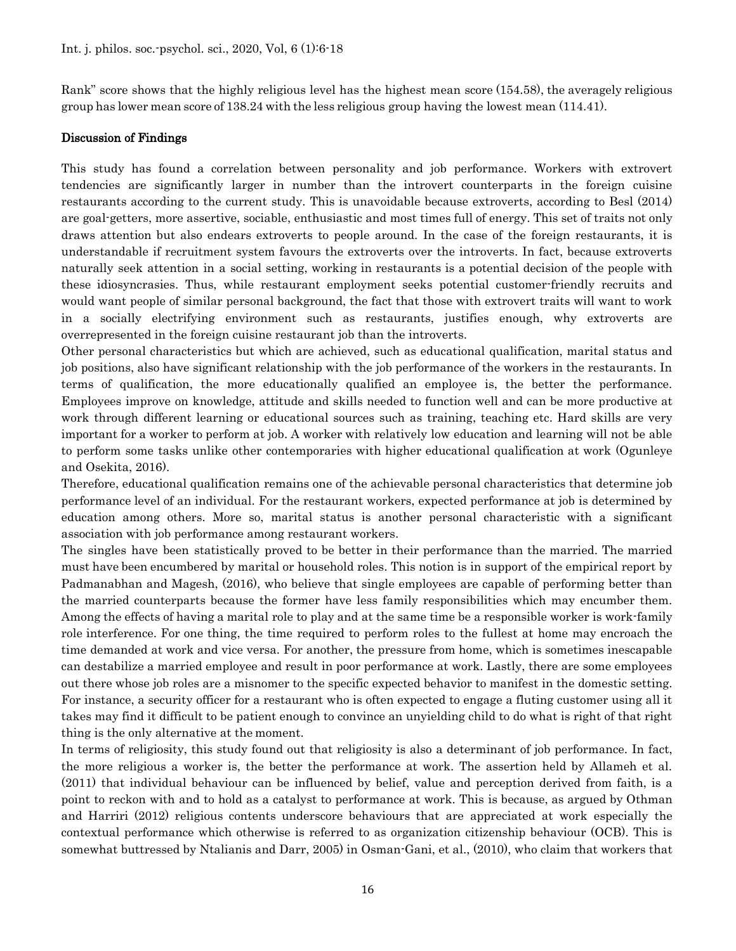Rank" score shows that the highly religious level has the highest mean score (154.58), the averagely religious group has lower mean score of 138.24 with the less religious group having the lowest mean (114.41).

## Discussion of Findings

This study has found a correlation between personality and job performance. Workers with extrovert tendencies are significantly larger in number than the introvert counterparts in the foreign cuisine restaurants according to the current study. This is unavoidable because extroverts, according to Besl (2014) are goal-getters, more assertive, sociable, enthusiastic and most times full of energy. This set of traits not only draws attention but also endears extroverts to people around. In the case of the foreign restaurants, it is understandable if recruitment system favours the extroverts over the introverts. In fact, because extroverts naturally seek attention in a social setting, working in restaurants is a potential decision of the people with these idiosyncrasies. Thus, while restaurant employment seeks potential customer-friendly recruits and would want people of similar personal background, the fact that those with extrovert traits will want to work in a socially electrifying environment such as restaurants, justifies enough, why extroverts are overrepresented in the foreign cuisine restaurant job than the introverts.

Other personal characteristics but which are achieved, such as educational qualification, marital status and job positions, also have significant relationship with the job performance of the workers in the restaurants. In terms of qualification, the more educationally qualified an employee is, the better the performance. Employees improve on knowledge, attitude and skills needed to function well and can be more productive at work through different learning or educational sources such as training, teaching etc. Hard skills are very important for a worker to perform at job. A worker with relatively low education and learning will not be able to perform some tasks unlike other contemporaries with higher educational qualification at work (Ogunleye and Osekita, 2016).

Therefore, educational qualification remains one of the achievable personal characteristics that determine job performance level of an individual. For the restaurant workers, expected performance at job is determined by education among others. More so, marital status is another personal characteristic with a significant association with job performance among restaurant workers.

The singles have been statistically proved to be better in their performance than the married. The married must have been encumbered by marital or household roles. This notion is in support of the empirical report by Padmanabhan and Magesh, (2016), who believe that single employees are capable of performing better than the married counterparts because the former have less family responsibilities which may encumber them. Among the effects of having a marital role to play and at the same time be a responsible worker is work-family role interference. For one thing, the time required to perform roles to the fullest at home may encroach the time demanded at work and vice versa. For another, the pressure from home, which is sometimes inescapable can destabilize a married employee and result in poor performance at work. Lastly, there are some employees out there whose job roles are a misnomer to the specific expected behavior to manifest in the domestic setting. For instance, a security officer for a restaurant who is often expected to engage a fluting customer using all it takes may find it difficult to be patient enough to convince an unyielding child to do what is right of that right thing is the only alternative at the moment.

In terms of religiosity, this study found out that religiosity is also a determinant of job performance. In fact, the more religious a worker is, the better the performance at work. The assertion held by Allameh et al. (2011) that individual behaviour can be influenced by belief, value and perception derived from faith, is a point to reckon with and to hold as a catalyst to performance at work. This is because, as argued by Othman and Harriri (2012) religious contents underscore behaviours that are appreciated at work especially the contextual performance which otherwise is referred to as organization citizenship behaviour (OCB). This is somewhat buttressed by Ntalianis and Darr, 2005) in Osman-Gani, et al., (2010), who claim that workers that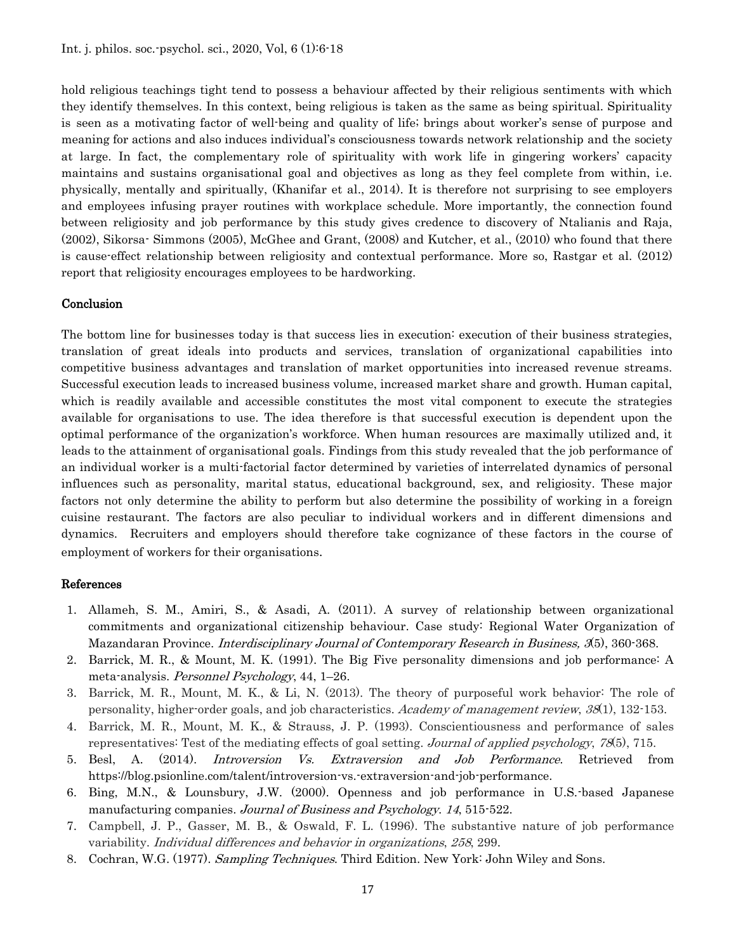hold religious teachings tight tend to possess a behaviour affected by their religious sentiments with which they identify themselves. In this context, being religious is taken as the same as being spiritual. Spirituality is seen as a motivating factor of well-being and quality of life; brings about worker's sense of purpose and meaning for actions and also induces individual's consciousness towards network relationship and the society at large. In fact, the complementary role of spirituality with work life in gingering workers' capacity maintains and sustains organisational goal and objectives as long as they feel complete from within, i.e. physically, mentally and spiritually, (Khanifar et al., 2014). It is therefore not surprising to see employers and employees infusing prayer routines with workplace schedule. More importantly, the connection found between religiosity and job performance by this study gives credence to discovery of Ntalianis and Raja, (2002), Sikorsa- Simmons (2005), McGhee and Grant, (2008) and Kutcher, et al., (2010) who found that there is cause-effect relationship between religiosity and contextual performance. More so, Rastgar et al. (2012) report that religiosity encourages employees to be hardworking.

#### Conclusion

The bottom line for businesses today is that success lies in execution: execution of their business strategies, translation of great ideals into products and services, translation of organizational capabilities into competitive business advantages and translation of market opportunities into increased revenue streams. Successful execution leads to increased business volume, increased market share and growth. Human capital, which is readily available and accessible constitutes the most vital component to execute the strategies available for organisations to use. The idea therefore is that successful execution is dependent upon the optimal performance of the organization's workforce. When human resources are maximally utilized and, it leads to the attainment of organisational goals. Findings from this study revealed that the job performance of an individual worker is a multi-factorial factor determined by varieties of interrelated dynamics of personal influences such as personality, marital status, educational background, sex, and religiosity. These major factors not only determine the ability to perform but also determine the possibility of working in a foreign cuisine restaurant. The factors are also peculiar to individual workers and in different dimensions and dynamics. Recruiters and employers should therefore take cognizance of these factors in the course of employment of workers for their organisations.

#### References

- 1. Allameh, S. M., Amiri, S., & Asadi, A. (2011). A survey of relationship between organizational commitments and organizational citizenship behaviour. Case study: Regional Water Organization of Mazandaran Province. *Interdisciplinary Journal of Contemporary Research in Business*, 3(5), 360-368.
- 2. Barrick, M. R., & Mount, M. K. (1991). The Big Five personality dimensions and job performance: A meta-analysis. Personnel Psychology, 44, 1–26.
- 3. Barrick, M. R., Mount, M. K., & Li, N. (2013). The theory of purposeful work behavior: The role of personality, higher-order goals, and job characteristics. Academy of management review, 38(1), 132-153.
- 4. Barrick, M. R., Mount, M. K., & Strauss, J. P. (1993). Conscientiousness and performance of sales representatives: Test of the mediating effects of goal setting. Journal of applied psychology, 78(5), 715.
- 5. Besl, A. (2014). Introversion Vs. Extraversion and Job Performance. Retrieved from https://blog.psionline.com/talent/introversion-vs.-extraversion-and-job-performance.
- 6. Bing, M.N., & Lounsbury, J.W. (2000). Openness and job performance in U.S.-based Japanese manufacturing companies. Journal of Business and Psychology. 14, 515-522.
- 7. Campbell, J. P., Gasser, M. B., & Oswald, F. L. (1996). The substantive nature of job performance variability. Individual differences and behavior in organizations, 258, 299.
- 8. Cochran, W.G. (1977). Sampling Techniques. Third Edition. New York: John Wiley and Sons.